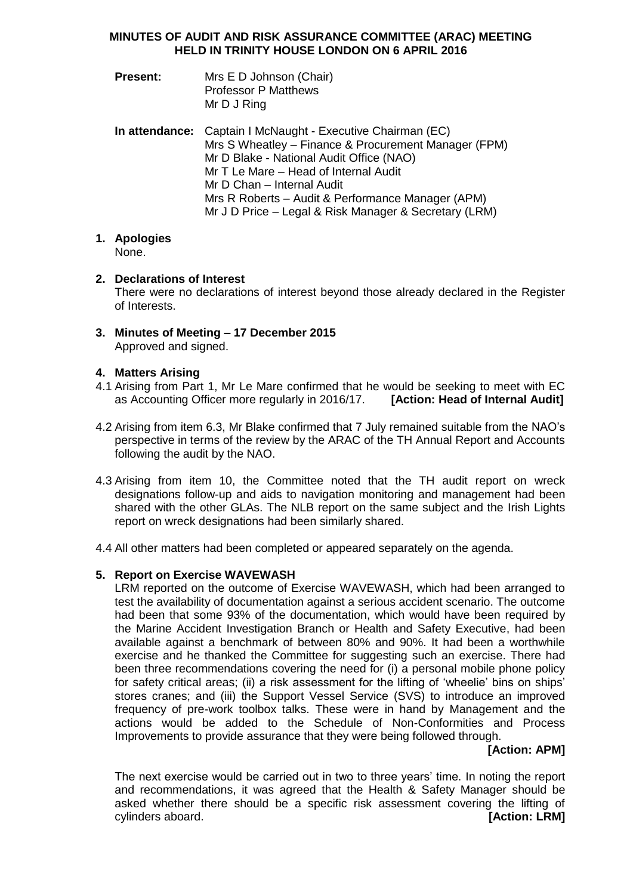## **MINUTES OF AUDIT AND RISK ASSURANCE COMMITTEE (ARAC) MEETING HELD IN TRINITY HOUSE LONDON ON 6 APRIL 2016**

- **Present:** Mrs E D Johnson (Chair) Professor P Matthews Mr D J Ring
- **In attendance:** Captain I McNaught Executive Chairman (EC) Mrs S Wheatley – Finance & Procurement Manager (FPM) Mr D Blake - National Audit Office (NAO) Mr T Le Mare – Head of Internal Audit Mr D Chan – Internal Audit Mrs R Roberts – Audit & Performance Manager (APM) Mr J D Price – Legal & Risk Manager & Secretary (LRM)

#### **1. Apologies** None.

# **2. Declarations of Interest**

There were no declarations of interest beyond those already declared in the Register of Interests.

**3. Minutes of Meeting – 17 December 2015** Approved and signed.

# **4. Matters Arising**

- 4.1 Arising from Part 1, Mr Le Mare confirmed that he would be seeking to meet with EC as Accounting Officer more regularly in 2016/17. **[Action: Head of Internal Audit]**
- 4.2 Arising from item 6.3, Mr Blake confirmed that 7 July remained suitable from the NAO's perspective in terms of the review by the ARAC of the TH Annual Report and Accounts following the audit by the NAO.
- 4.3 Arising from item 10, the Committee noted that the TH audit report on wreck designations follow-up and aids to navigation monitoring and management had been shared with the other GLAs. The NLB report on the same subject and the Irish Lights report on wreck designations had been similarly shared.
- 4.4 All other matters had been completed or appeared separately on the agenda.

# **5. Report on Exercise WAVEWASH**

LRM reported on the outcome of Exercise WAVEWASH, which had been arranged to test the availability of documentation against a serious accident scenario. The outcome had been that some 93% of the documentation, which would have been required by the Marine Accident Investigation Branch or Health and Safety Executive, had been available against a benchmark of between 80% and 90%. It had been a worthwhile exercise and he thanked the Committee for suggesting such an exercise. There had been three recommendations covering the need for (i) a personal mobile phone policy for safety critical areas; (ii) a risk assessment for the lifting of 'wheelie' bins on ships' stores cranes; and (iii) the Support Vessel Service (SVS) to introduce an improved frequency of pre-work toolbox talks. These were in hand by Management and the actions would be added to the Schedule of Non-Conformities and Process Improvements to provide assurance that they were being followed through.

# **[Action: APM]**

The next exercise would be carried out in two to three years' time. In noting the report and recommendations, it was agreed that the Health & Safety Manager should be asked whether there should be a specific risk assessment covering the lifting of cylinders aboard. **[Action: LRM]**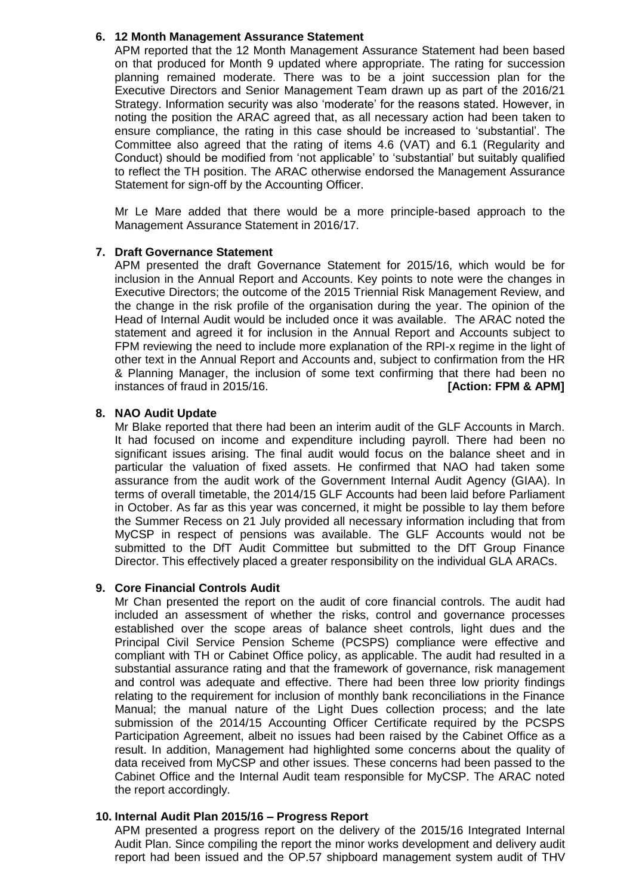# **6. 12 Month Management Assurance Statement**

APM reported that the 12 Month Management Assurance Statement had been based on that produced for Month 9 updated where appropriate. The rating for succession planning remained moderate. There was to be a joint succession plan for the Executive Directors and Senior Management Team drawn up as part of the 2016/21 Strategy. Information security was also 'moderate' for the reasons stated. However, in noting the position the ARAC agreed that, as all necessary action had been taken to ensure compliance, the rating in this case should be increased to 'substantial'. The Committee also agreed that the rating of items 4.6 (VAT) and 6.1 (Regularity and Conduct) should be modified from 'not applicable' to 'substantial' but suitably qualified to reflect the TH position. The ARAC otherwise endorsed the Management Assurance Statement for sign-off by the Accounting Officer.

Mr Le Mare added that there would be a more principle-based approach to the Management Assurance Statement in 2016/17.

## **7. Draft Governance Statement**

APM presented the draft Governance Statement for 2015/16, which would be for inclusion in the Annual Report and Accounts. Key points to note were the changes in Executive Directors; the outcome of the 2015 Triennial Risk Management Review, and the change in the risk profile of the organisation during the year. The opinion of the Head of Internal Audit would be included once it was available. The ARAC noted the statement and agreed it for inclusion in the Annual Report and Accounts subject to FPM reviewing the need to include more explanation of the RPI-x regime in the light of other text in the Annual Report and Accounts and, subject to confirmation from the HR & Planning Manager, the inclusion of some text confirming that there had been no instances of fraud in 2015/16. *IACTION:* FPM & APM]

# **8. NAO Audit Update**

Mr Blake reported that there had been an interim audit of the GLF Accounts in March. It had focused on income and expenditure including payroll. There had been no significant issues arising. The final audit would focus on the balance sheet and in particular the valuation of fixed assets. He confirmed that NAO had taken some assurance from the audit work of the Government Internal Audit Agency (GIAA). In terms of overall timetable, the 2014/15 GLF Accounts had been laid before Parliament in October. As far as this year was concerned, it might be possible to lay them before the Summer Recess on 21 July provided all necessary information including that from MyCSP in respect of pensions was available. The GLF Accounts would not be submitted to the DfT Audit Committee but submitted to the DfT Group Finance Director. This effectively placed a greater responsibility on the individual GLA ARACs.

# **9. Core Financial Controls Audit**

Mr Chan presented the report on the audit of core financial controls. The audit had included an assessment of whether the risks, control and governance processes established over the scope areas of balance sheet controls, light dues and the Principal Civil Service Pension Scheme (PCSPS) compliance were effective and compliant with TH or Cabinet Office policy, as applicable. The audit had resulted in a substantial assurance rating and that the framework of governance, risk management and control was adequate and effective. There had been three low priority findings relating to the requirement for inclusion of monthly bank reconciliations in the Finance Manual; the manual nature of the Light Dues collection process; and the late submission of the 2014/15 Accounting Officer Certificate required by the PCSPS Participation Agreement, albeit no issues had been raised by the Cabinet Office as a result. In addition, Management had highlighted some concerns about the quality of data received from MyCSP and other issues. These concerns had been passed to the Cabinet Office and the Internal Audit team responsible for MyCSP. The ARAC noted the report accordingly.

# **10. Internal Audit Plan 2015/16 – Progress Report**

APM presented a progress report on the delivery of the 2015/16 Integrated Internal Audit Plan. Since compiling the report the minor works development and delivery audit report had been issued and the OP.57 shipboard management system audit of THV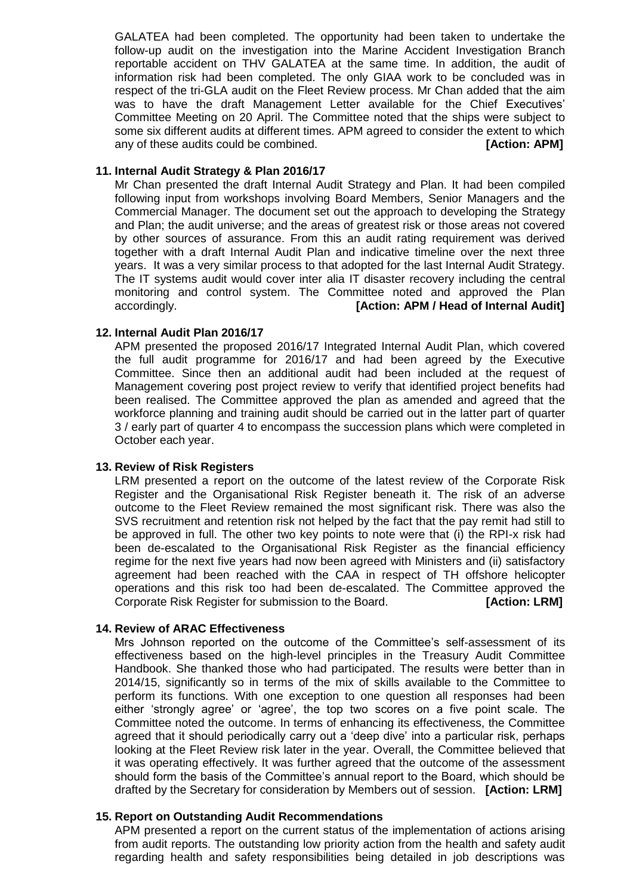GALATEA had been completed. The opportunity had been taken to undertake the follow-up audit on the investigation into the Marine Accident Investigation Branch reportable accident on THV GALATEA at the same time. In addition, the audit of information risk had been completed. The only GIAA work to be concluded was in respect of the tri-GLA audit on the Fleet Review process. Mr Chan added that the aim was to have the draft Management Letter available for the Chief Executives' Committee Meeting on 20 April. The Committee noted that the ships were subject to some six different audits at different times. APM agreed to consider the extent to which any of these audits could be combined. **[Action: APM]** 

## **11. Internal Audit Strategy & Plan 2016/17**

Mr Chan presented the draft Internal Audit Strategy and Plan. It had been compiled following input from workshops involving Board Members, Senior Managers and the Commercial Manager. The document set out the approach to developing the Strategy and Plan; the audit universe; and the areas of greatest risk or those areas not covered by other sources of assurance. From this an audit rating requirement was derived together with a draft Internal Audit Plan and indicative timeline over the next three years. It was a very similar process to that adopted for the last Internal Audit Strategy. The IT systems audit would cover inter alia IT disaster recovery including the central monitoring and control system. The Committee noted and approved the Plan accordingly. **[Action: APM / Head of Internal Audit]**

## **12. Internal Audit Plan 2016/17**

APM presented the proposed 2016/17 Integrated Internal Audit Plan, which covered the full audit programme for 2016/17 and had been agreed by the Executive Committee. Since then an additional audit had been included at the request of Management covering post project review to verify that identified project benefits had been realised. The Committee approved the plan as amended and agreed that the workforce planning and training audit should be carried out in the latter part of quarter 3 / early part of quarter 4 to encompass the succession plans which were completed in October each year.

### **13. Review of Risk Registers**

LRM presented a report on the outcome of the latest review of the Corporate Risk Register and the Organisational Risk Register beneath it. The risk of an adverse outcome to the Fleet Review remained the most significant risk. There was also the SVS recruitment and retention risk not helped by the fact that the pay remit had still to be approved in full. The other two key points to note were that (i) the RPI-x risk had been de-escalated to the Organisational Risk Register as the financial efficiency regime for the next five years had now been agreed with Ministers and (ii) satisfactory agreement had been reached with the CAA in respect of TH offshore helicopter operations and this risk too had been de-escalated. The Committee approved the Corporate Risk Register for submission to the Board. **[Action: LRM]**

### **14. Review of ARAC Effectiveness**

Mrs Johnson reported on the outcome of the Committee's self-assessment of its effectiveness based on the high-level principles in the Treasury Audit Committee Handbook. She thanked those who had participated. The results were better than in 2014/15, significantly so in terms of the mix of skills available to the Committee to perform its functions. With one exception to one question all responses had been either 'strongly agree' or 'agree', the top two scores on a five point scale. The Committee noted the outcome. In terms of enhancing its effectiveness, the Committee agreed that it should periodically carry out a 'deep dive' into a particular risk, perhaps looking at the Fleet Review risk later in the year. Overall, the Committee believed that it was operating effectively. It was further agreed that the outcome of the assessment should form the basis of the Committee's annual report to the Board, which should be drafted by the Secretary for consideration by Members out of session. **[Action: LRM]** 

### **15. Report on Outstanding Audit Recommendations**

APM presented a report on the current status of the implementation of actions arising from audit reports. The outstanding low priority action from the health and safety audit regarding health and safety responsibilities being detailed in job descriptions was